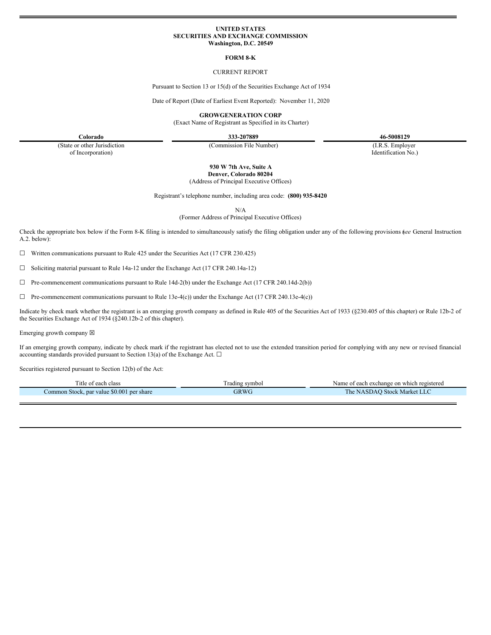#### **UNITED STATES SECURITIES AND EXCHANGE COMMISSION Washington, D.C. 20549**

#### **FORM 8-K**

# CURRENT REPORT

Pursuant to Section 13 or 15(d) of the Securities Exchange Act of 1934

Date of Report (Date of Earliest Event Reported): November 11, 2020

**GROWGENERATION CORP**

(Exact Name of Registrant as Specified in its Charter)

**Colorado 333-207889 46-5008129**

(State or other Jurisdiction of Incorporation)

(Commission File Number) (I.R.S. Employer

Identification No.)

**930 W 7th Ave, Suite A Denver, Colorado 80204**

(Address of Principal Executive Offices)

Registrant's telephone number, including area code: **(800) 935-8420**

N/A

(Former Address of Principal Executive Offices)

Check the appropriate box below if the Form 8-K filing is intended to simultaneously satisfy the filing obligation under any of the following provisions (*see* General Instruction A.2. below):

 $\Box$  Written communications pursuant to Rule 425 under the Securities Act (17 CFR 230.425)

☐ Soliciting material pursuant to Rule 14a-12 under the Exchange Act (17 CFR 240.14a-12)

☐ Pre-commencement communications pursuant to Rule 14d-2(b) under the Exchange Act (17 CFR 240.14d-2(b))

 $\Box$  Pre-commencement communications pursuant to Rule 13e-4(c)) under the Exchange Act (17 CFR 240.13e-4(c))

Indicate by check mark whether the registrant is an emerging growth company as defined in Rule 405 of the Securities Act of 1933 (§230.405 of this chapter) or Rule 12b-2 of the Securities Exchange Act of 1934 (§240.12b-2 of this chapter).

Emerging growth company  $\boxtimes$ 

If an emerging growth company, indicate by check mark if the registrant has elected not to use the extended transition period for complying with any new or revised financial accounting standards provided pursuant to Section 13(a) of the Exchange Act.  $\square$ 

Securities registered pursuant to Section 12(b) of the Act:

| l'itle of each class                      | Fradıng symbol | Name of each exchange on which registered |
|-------------------------------------------|----------------|-------------------------------------------|
| Common Stock, par value \$0.001 per share | GRWC           | The NASDAO Stock Market LLC               |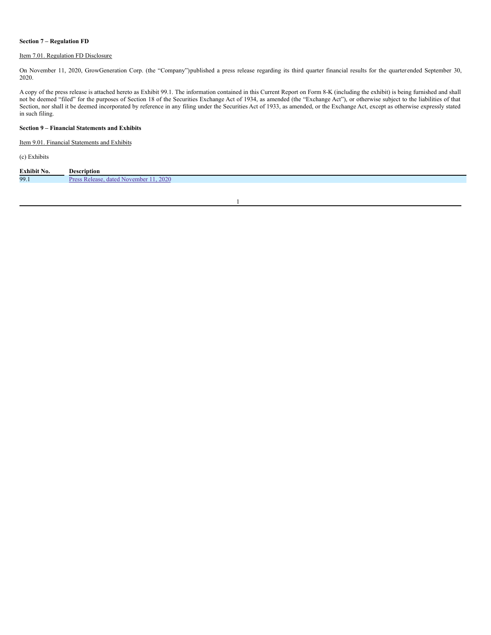# **Section 7 – Regulation FD**

# Item 7.01. Regulation FD Disclosure

On November 11, 2020, GrowGeneration Corp. (the "Company")published a press release regarding its third quarter financial results for the quarterended September 30, 2020.

A copy of the press release is attached hereto as Exhibit 99.1. The information contained in this Current Report on Form 8-K (including the exhibit) is being furnished and shall not be deemed "filed" for the purposes of Section 18 of the Securities Exchange Act of 1934, as amended (the "Exchange Act"), or otherwise subject to the liabilities of that Section, nor shall it be deemed incorporated by reference in any filing under the Securities Act of 1933, as amended, or the Exchange Act, except as otherwise expressly stated in such filing.

# **Section 9 – Financial Statements and Exhibits**

Item 9.01. Financial Statements and Exhibits

(c) Exhibits

| <b>Exhibit No.</b> | Description                                                 |
|--------------------|-------------------------------------------------------------|
| 99.1               | 2020<br>$\mathbf{p_{ref}}$<br>dated<br>November  <br>alease |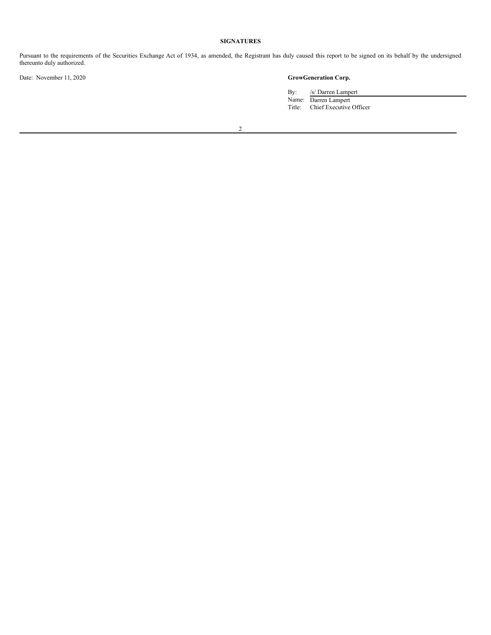# **SIGNATURES**

Pursuant to the requirements of the Securities Exchange Act of 1934, as amended, the Registrant has duly caused this report to be signed on its behalf by the undersigned thereunto duly authorized.

Date: November 11, 2020 **GrowGeneration Corp.**

By: /s/ Darren Lampert Name: Darren Lampert Title: Chief Executive Officer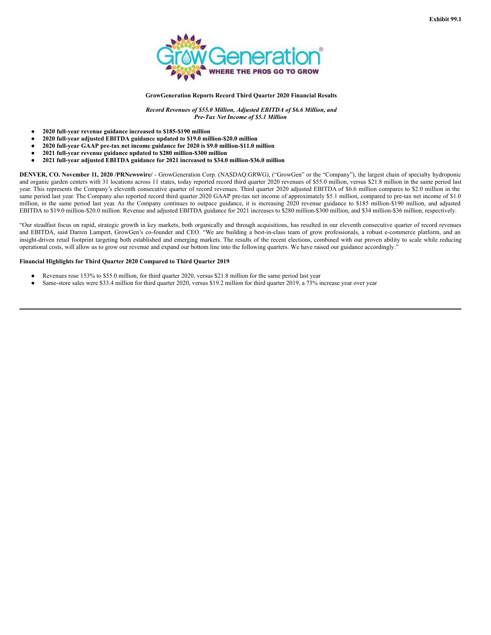

### **GrowGeneration Reports Record Third Quarter 2020 Financial Results**

*Record Revenues of \$55.0 Million, Adjusted EBITDA of \$6.6 Million, and Pre-Tax Net Income of \$5.1 Million*

- **2020 full-year revenue guidance increased to \$185-\$190 million**
- **2020 full-year adjusted EBITDA guidance updated to \$19.0 million-\$20.0 million**
- **2020 full-year GAAP pre-tax net income guidance for 2020 is \$9.0 million-\$11.0 million**
- **2021 full-year revenue guidance updated to \$280 million-\$300 million**
- **2021 full-year adjusted EBITDA guidance for 2021 increased to \$34.0 million-\$36.0 million**

**DENVER, CO. November 11, 2020 /PRNewswire/** - GrowGeneration Corp. (NASDAQ:GRWG), ("GrowGen" or the "Company"), the largest chain of specialty hydroponic and organic garden centers with 31 locations across 11 states, today reported record third quarter 2020 revenues of \$55.0 million, versus \$21.8 million in the same period last year. This represents the Company's eleventh consecutive quarter of record revenues. Third quarter 2020 adjusted EBITDA of \$6.6 million compares to \$2.0 million in the same period last year. The Company also reported record third quarter 2020 GAAP pre-tax net income of approximately \$5.1 million, compared to pre-tax net income of \$1.0 million, in the same period last year. As the Company continues to outpace guidance, it is increasing 2020 revenue guidance to \$185 million-\$190 million, and adjusted EBITDA to \$19.0 million-\$20.0 million. Revenue and adjusted EBITDA guidance for 2021 increases to \$280 million-\$300 million, and \$34 million-\$36 million, respectively.

"Our steadfast focus on rapid, strategic growth in key markets, both organically and through acquisitions, has resulted in our eleventh consecutive quarter of record revenues and EBITDA, said Darren Lampert, GrowGen's co-founder and CEO. "We are building a best-in-class team of grow professionals, a robust e-commerce platform, and an insight-driven retail footprint targeting both established and emerging markets. The results of the recent elections, combined with our proven ability to scale while reducing operational costs, will allow us to grow our revenue and expand our bottom line into the following quarters. We have raised our guidance accordingly."

#### **Financial Highlights for Third Quarter 2020 Compared to Third Quarter 2019**

- Revenues rose 153% to \$55.0 million, for third quarter 2020, versus \$21.8 million for the same period last year
- Same-store sales were \$33.4 million for third quarter 2020, versus \$19.2 million for third quarter 2019, a 73% increase year over year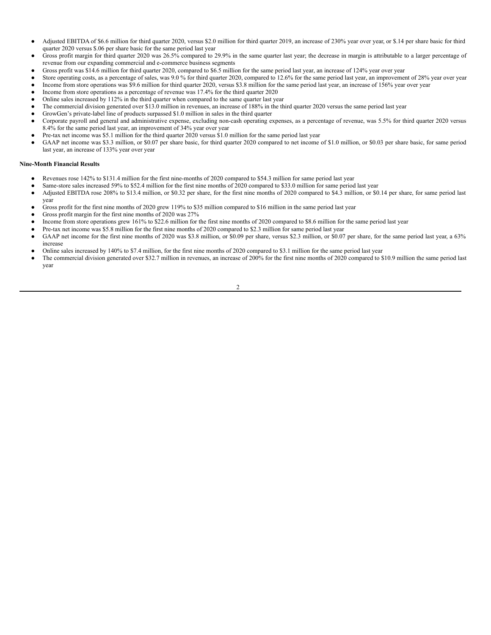- Adjusted EBITDA of \$6.6 million for third quarter 2020, versus \$2.0 million for third quarter 2019, an increase of 230% year over year, or \$.14 per share basic for third quarter 2020 versus \$.06 per share basic for the same period last year
- Gross profit margin for third quarter 2020 was 26.5% compared to 29.9% in the same quarter last year; the decrease in margin is attributable to a larger percentage of revenue from our expanding commercial and e-commerce business segments
- Gross profit was \$14.6 million for third quarter 2020, compared to \$6.5 million for the same period last year, an increase of 124% year over year
- Store operating costs, as a percentage of sales, was 9.0 % for third quarter 2020, compared to 12.6% for the same period last year, an improvement of 28% year over year
- Income from store operations was \$9.6 million for third quarter 2020, versus \$3.8 million for the same period last year, an increase of 156% year over year
- Income from store operations as a percentage of revenue was 17.4% for the third quarter 2020
- Online sales increased by 112% in the third quarter when compared to the same quarter last year The commercial division generated over \$13.0 million in revenues, an increase of 188% in the third quarter 2020 versus the same period last year
- GrowGen's private-label line of products surpassed \$1.0 million in sales in the third quarter
- Corporate payroll and general and administrative expense, excluding non-cash operating expenses, as a percentage of revenue, was 5.5% for third quarter 2020 versus 8.4% for the same period last year, an improvement of 34% year over year
- Pre-tax net income was \$5.1 million for the third quarter 2020 versus \$1.0 million for the same period last year
- GAAP net income was \$3.3 million, or \$0.07 per share basic, for third quarter 2020 compared to net income of \$1.0 million, or \$0.03 per share basic, for same period last year, an increase of 133% year over year

# **Nine-Month Financial Results**

- Revenues rose 142% to \$131.4 million for the first nine-months of 2020 compared to \$54.3 million for same period last year
- Same-store sales increased 59% to \$52.4 million for the first nine months of 2020 compared to \$33.0 million for same period last year
- Adjusted EBITDA rose 208% to \$13.4 million, or \$0.32 per share, for the first nine months of 2020 compared to \$4.3 million, or \$0.14 per share, for same period last year
- Gross profit for the first nine months of 2020 grew 119% to \$35 million compared to \$16 million in the same period last year
- Gross profit margin for the first nine months of 2020 was 27%
- Income from store operations grew 161% to \$22.6 million for the first nine months of 2020 compared to \$8.6 million for the same period last year
- Pre-tax net income was \$5.8 million for the first nine months of 2020 compared to \$2.3 million for same period last year
- GAAP net income for the first nine months of 2020 was \$3.8 million, or \$0.09 per share, versus \$2.3 million, or \$0.07 per share, for the same period last year, a 63% increase
- Online sales increased by 140% to \$7.4 million, for the first nine months of 2020 compared to \$3.1 million for the same period last year
- The commercial division generated over \$32.7 million in revenues, an increase of 200% for the first nine months of 2020 compared to \$10.9 million the same period last year

 $\overline{2}$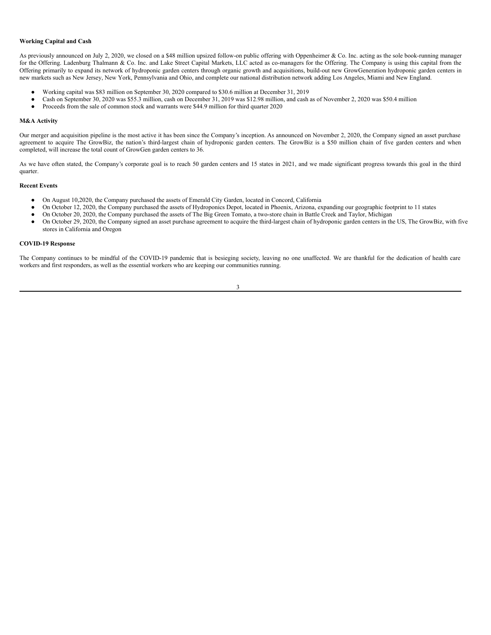#### **Working Capital and Cash**

As previously announced on July 2, 2020, we closed on a \$48 million upsized follow-on public offering with Oppenheimer & Co. Inc. acting as the sole book-running manager for the Offering. Ladenburg Thalmann & Co. Inc. and Lake Street Capital Markets, LLC acted as co-managers for the Offering. The Company is using this capital from the Offering primarily to expand its network of hydroponic garden centers through organic growth and acquisitions, build-out new GrowGeneration hydroponic garden centers in new markets such as New Jersey, New York, Pennsylvania and Ohio, and complete our national distribution network adding Los Angeles, Miami and New England.

- Working capital was \$83 million on September 30, 2020 compared to \$30.6 million at December 31, 2019
- Cash on September 30, 2020 was \$55.3 million, cash on December 31, 2019 was \$12.98 million, and cash as of November 2, 2020 was \$50.4 million<br>● Proceeds from the sale of common stock and warrants were \$44.9 million for
- Proceeds from the sale of common stock and warrants were \$44.9 million for third quarter 2020

#### **M&A Activity**

Our merger and acquisition pipeline is the most active it has been since the Company's inception. As announced on November 2, 2020, the Company signed an asset purchase agreement to acquire The GrowBiz, the nation's third-largest chain of hydroponic garden centers. The GrowBiz is a \$50 million chain of five garden centers and when completed, will increase the total count of GrowGen garden centers to 36.

As we have often stated, the Company's corporate goal is to reach 50 garden centers and 15 states in 2021, and we made significant progress towards this goal in the third quarter.

#### **Recent Events**

- On August 10,2020, the Company purchased the assets of Emerald City Garden, located in Concord, California
- On October 12, 2020, the Company purchased the assets of Hydroponics Depot, located in Phoenix, Arizona, expanding our geographic footprint to 11 states
- On October 20, 2020, the Company purchased the assets of The Big Green Tomato, a two-store chain in Battle Creek and Taylor, Michigan
- On October 29, 2020, the Company signed an asset purchase agreement to acquire the third-largest chain of hydroponic garden centers in the US, The GrowBiz, with five stores in California and Oregon

# **COVID-19 Response**

The Company continues to be mindful of the COVID-19 pandemic that is besieging society, leaving no one unaffected. We are thankful for the dedication of health care workers and first responders, as well as the essential workers who are keeping our communities running.

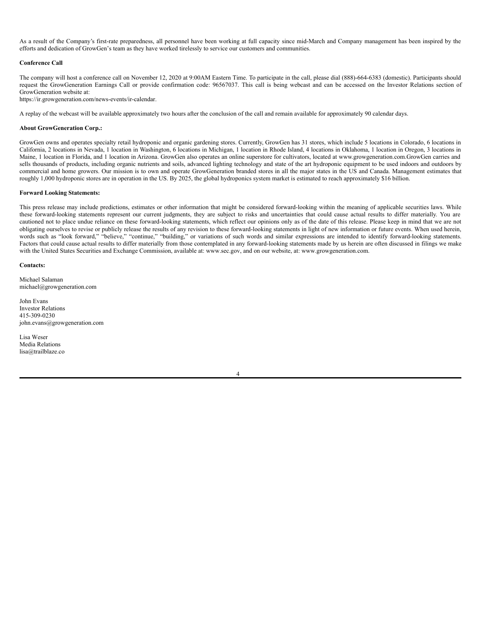<span id="page-6-0"></span>As a result of the Company's first-rate preparedness, all personnel have been working at full capacity since mid-March and Company management has been inspired by the efforts and dedication of GrowGen's team as they have worked tirelessly to service our customers and communities.

# **Conference Call**

The company will host a conference call on November 12, 2020 at 9:00AM Eastern Time. To participate in the call, please dial (888)-664-6383 (domestic). Participants should request the GrowGeneration Earnings Call or provide confirmation code: 96567037. This call is being webcast and can be accessed on the Investor Relations section of GrowGeneration website at:

https://ir.growgeneration.com/news-events/ir-calendar.

A replay of the webcast will be available approximately two hours after the conclusion of the call and remain available for approximately 90 calendar days.

## **About GrowGeneration Corp.:**

GrowGen owns and operates specialty retail hydroponic and organic gardening stores. Currently, GrowGen has 31 stores, which include 5 locations in Colorado, 6 locations in California, 2 locations in Nevada, 1 location in Washington, 6 locations in Michigan, 1 location in Rhode Island, 4 locations in Oklahoma, 1 location in Oregon, 3 locations in Maine, 1 location in Florida, and 1 location in Arizona. GrowGen also operates an online superstore for cultivators, located at www.growgeneration.com.GrowGen carries and sells thousands of products, including organic nutrients and soils, advanced lighting technology and state of the art hydroponic equipment to be used indoors and outdoors by commercial and home growers. Our mission is to own and operate GrowGeneration branded stores in all the major states in the US and Canada. Management estimates that roughly 1,000 hydroponic stores are in operation in the US. By 2025, the global hydroponics system market is estimated to reach approximately \$16 billion.

## **Forward Looking Statements:**

This press release may include predictions, estimates or other information that might be considered forward-looking within the meaning of applicable securities laws. While these forward-looking statements represent our current judgments, they are subject to risks and uncertainties that could cause actual results to differ materially. You are cautioned not to place undue reliance on these forward-looking statements, which reflect our opinions only as of the date of this release. Please keep in mind that we are not obligating ourselves to revise or publicly release the results of any revision to these forward-looking statements in light of new information or future events. When used herein, words such as "look forward," "believe," "continue," "building," or variations of such words and similar expressions are intended to identify forward-looking statements. Factors that could cause actual results to differ materially from those contemplated in any forward-looking statements made by us herein are often discussed in filings we make with the United States Securities and Exchange Commission, available at: www.sec.gov, and on our website, at: www.growgeneration.com.

# **Contacts:**

Michael Salaman michael@growgeneration.com

John Evans Investor Relations 415-309-0230 john.evans@growgeneration.com

Lisa Weser Media Relations lisa@trailblaze.co

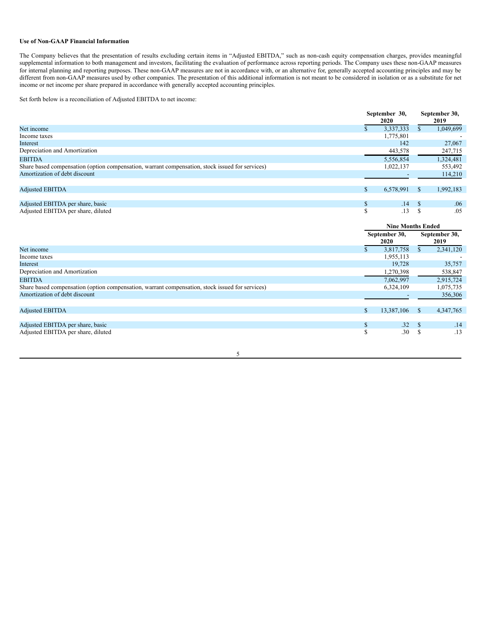# **Use of Non-GAAP Financial Information**

The Company believes that the presentation of results excluding certain items in "Adjusted EBITDA," such as non-cash equity compensation charges, provides meaningful supplemental information to both management and investors, facilitating the evaluation of performance across reporting periods. The Company uses these non-GAAP measures for internal planning and reporting purposes. These non-GAAP measures are not in accordance with, or an alternative for, generally accepted accounting principles and may be different from non-GAAP measures used by other companies. The presentation of this additional information is not meant to be considered in isolation or as a substitute for net different from non-GAAP measures used by other income or net income per share prepared in accordance with generally accepted accounting principles.

Set forth below is a reconciliation of Adjusted EBITDA to net income:

|                                                                                                 |                | September 30,<br>2020    |                                | September 30,<br>2019 |  |
|-------------------------------------------------------------------------------------------------|----------------|--------------------------|--------------------------------|-----------------------|--|
| Net income                                                                                      | $\mathbb{S}$   | 3,337,333                | $\mathbb{S}$                   | 1,049,699             |  |
| Income taxes                                                                                    |                | 1,775,801                |                                |                       |  |
| Interest                                                                                        |                | 142                      |                                | 27,067                |  |
| Depreciation and Amortization                                                                   |                | 443,578                  |                                | 247,715               |  |
| <b>EBITDA</b>                                                                                   |                | 5,556,854                |                                | 1,324,481             |  |
| Share based compensation (option compensation, warrant compensation, stock issued for services) |                | 1,022,137                |                                | 553,492               |  |
| Amortization of debt discount                                                                   |                |                          |                                | 114,210               |  |
|                                                                                                 |                |                          |                                |                       |  |
| <b>Adjusted EBITDA</b>                                                                          | \$             | 6,578,991                | <sup>S</sup>                   | 1,992,183             |  |
|                                                                                                 |                |                          |                                |                       |  |
| Adjusted EBITDA per share, basic                                                                | \$             | .14                      | \$                             | .06                   |  |
| Adjusted EBITDA per share, diluted                                                              | \$.            | .13                      | $\mathbf S$                    | .05                   |  |
|                                                                                                 |                |                          |                                |                       |  |
|                                                                                                 |                | <b>Nine Months Ended</b> |                                |                       |  |
|                                                                                                 |                |                          |                                |                       |  |
|                                                                                                 |                | September 30,            |                                | September 30,         |  |
|                                                                                                 |                | 2020                     |                                | 2019                  |  |
| Net income                                                                                      | $\mathbb{S}^-$ | 3,817,758                | $\mathbb{S}$                   | 2,341,120             |  |
| Income taxes                                                                                    |                | 1,955,113                |                                |                       |  |
| Interest                                                                                        |                | 19,728                   |                                | 35,757                |  |
| Depreciation and Amortization                                                                   |                | 1,270,398                |                                | 538,847               |  |
| <b>EBITDA</b>                                                                                   |                | 7,062,997                |                                | 2,915,724             |  |
| Share based compensation (option compensation, warrant compensation, stock issued for services) |                | 6,324,109                |                                | 1,075,735             |  |
| Amortization of debt discount                                                                   |                |                          |                                | 356,306               |  |
|                                                                                                 |                |                          |                                |                       |  |
| <b>Adjusted EBITDA</b>                                                                          | $\mathbb{S}$   | 13,387,106               | <sup>\$</sup>                  | 4,347,765             |  |
|                                                                                                 |                |                          |                                |                       |  |
| Adjusted EBITDA per share, basic<br>Adjusted EBITDA per share, diluted                          | \$<br>S        | .32<br>.30               | <sup>\$</sup><br><sup>\$</sup> | .14<br>.13            |  |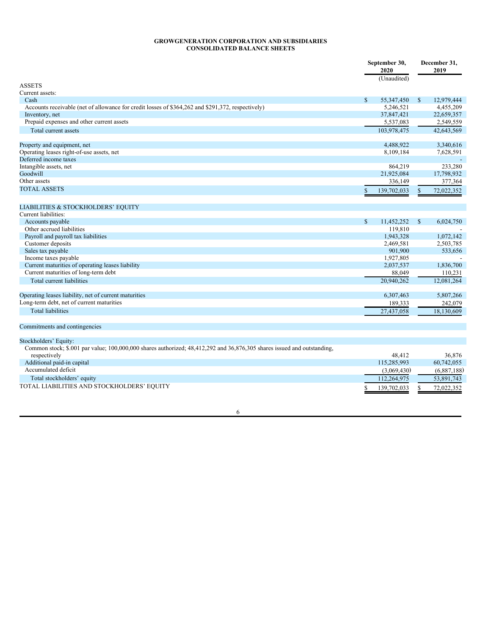# **GROWGENERATION CORPORATION AND SUBSIDIARIES CONSOLIDATED BALANCE SHEETS**

|                                                                                                                         | September 30,<br>2020 |             | December 31,<br>2019 |             |
|-------------------------------------------------------------------------------------------------------------------------|-----------------------|-------------|----------------------|-------------|
|                                                                                                                         |                       | (Unaudited) |                      |             |
| <b>ASSETS</b>                                                                                                           |                       |             |                      |             |
| Current assets:                                                                                                         |                       |             |                      |             |
| Cash                                                                                                                    | $\mathbb{S}$          | 55,347,450  | $\mathbb{S}$         | 12,979,444  |
| Accounts receivable (net of allowance for credit losses of \$364,262 and \$291,372, respectively)                       |                       | 5.246.521   |                      | 4,455,209   |
| Inventory, net                                                                                                          |                       | 37,847,421  |                      | 22,659,357  |
| Prepaid expenses and other current assets                                                                               |                       | 5,537,083   |                      | 2,549,559   |
| Total current assets                                                                                                    |                       | 103.978.475 |                      | 42,643,569  |
| Property and equipment, net                                                                                             |                       | 4,488,922   |                      | 3,340,616   |
| Operating leases right-of-use assets, net                                                                               |                       | 8,109,184   |                      | 7,628,591   |
| Deferred income taxes                                                                                                   |                       |             |                      |             |
| Intangible assets, net                                                                                                  |                       | 864,219     |                      | 233,280     |
| Goodwill                                                                                                                |                       | 21,925,084  |                      | 17,798,932  |
| Other assets                                                                                                            |                       | 336,149     |                      | 377,364     |
| <b>TOTAL ASSETS</b>                                                                                                     |                       | 139,702,033 | \$.                  | 72,022,352  |
| LIABILITIES & STOCKHOLDERS' EQUITY                                                                                      |                       |             |                      |             |
| Current liabilities:                                                                                                    |                       |             |                      |             |
| Accounts payable                                                                                                        | \$                    | 11,452,252  | $\mathbb{S}$         | 6,024,750   |
| Other accrued liabilities                                                                                               |                       | 119,810     |                      |             |
| Payroll and payroll tax liabilities                                                                                     |                       | 1,943,328   |                      | 1.072.142   |
| Customer deposits                                                                                                       |                       | 2,469,581   |                      | 2,503,785   |
| Sales tax payable                                                                                                       |                       | 901,900     |                      | 533,656     |
| Income taxes payable                                                                                                    |                       | 1,927,805   |                      |             |
| Current maturities of operating leases liability                                                                        |                       | 2,037,537   |                      | 1,836,700   |
| Current maturities of long-term debt                                                                                    |                       | 88,049      |                      | 110,231     |
| Total current liabilities                                                                                               |                       | 20.940.262  |                      | 12,081,264  |
| Operating leases liability, net of current maturities                                                                   |                       | 6,307,463   |                      | 5,807,266   |
| Long-term debt, net of current maturities                                                                               |                       | 189,333     |                      | 242,079     |
| <b>Total liabilities</b>                                                                                                |                       | 27,437,058  |                      | 18,130,609  |
| Commitments and contingencies                                                                                           |                       |             |                      |             |
| Stockholders' Equity:                                                                                                   |                       |             |                      |             |
| Common stock; \$.001 par value; 100,000,000 shares authorized; 48,412,292 and 36,876,305 shares issued and outstanding, |                       |             |                      |             |
| respectively                                                                                                            |                       | 48.412      |                      | 36.876      |
| Additional paid-in capital                                                                                              |                       | 115,285,993 |                      | 60,742,055  |
| Accumulated deficit                                                                                                     |                       | (3,069,430) |                      | (6,887,188) |
| Total stockholders' equity                                                                                              |                       | 112,264,975 |                      | 53,891,743  |
| TOTAL LIABILITIES AND STOCKHOLDERS' EQUITY                                                                              |                       | 139,702,033 | \$                   | 72,022,352  |